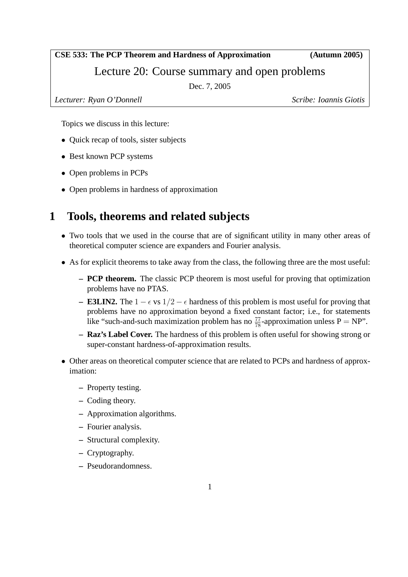#### **CSE 533: The PCP Theorem and Hardness of Approximation (Autumn 2005)**

Lecture 20: Course summary and open problems

Dec. 7, 2005

*Lecturer: Ryan O'Donnell Scribe: Ioannis Giotis*

Topics we discuss in this lecture:

- Quick recap of tools, sister subjects
- Best known PCP systems
- Open problems in PCPs
- Open problems in hardness of approximation

# **1 Tools, theorems and related subjects**

- Two tools that we used in the course that are of significant utility in many other areas of theoretical computer science are expanders and Fourier analysis.
- As for explicit theorems to take away from the class, the following three are the most useful:
	- **– PCP theorem.** The classic PCP theorem is most useful for proving that optimization problems have no PTAS.
	- **– E3LIN2.** The 1 −  $\epsilon$  vs 1/2 −  $\epsilon$  hardness of this problem is most useful for proving that problems have no approximation beyond a fixed constant factor; i.e., for statements like "such-and-such maximization problem has no  $\frac{77}{78}$ -approximation unless P = NP".
	- **– Raz's Label Cover.** The hardness of this problem is often useful for showing strong or super-constant hardness-of-approximation results.
- Other areas on theoretical computer science that are related to PCPs and hardness of approximation:
	- **–** Property testing.
	- **–** Coding theory.
	- **–** Approximation algorithms.
	- **–** Fourier analysis.
	- **–** Structural complexity.
	- **–** Cryptography.
	- **–** Pseudorandomness.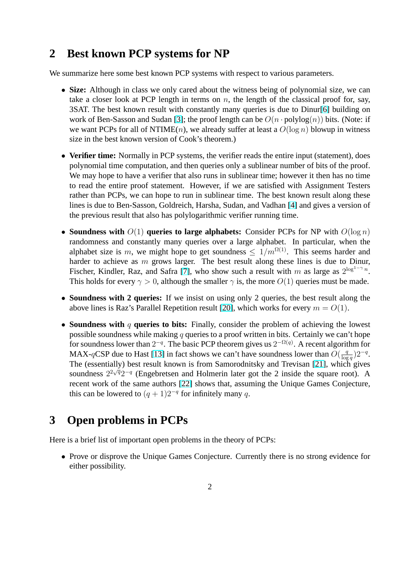### **2 Best known PCP systems for NP**

We summarize here some best known PCP systems with respect to various parameters.

- **Size:** Although in class we only cared about the witness being of polynomial size, we can take a closer look at PCP length in terms on  $n$ , the length of the classical proof for, say, 3SAT. The best known result with constantly many queries is due to Dinur[6] building on work of Ben-Sasson and Sudan [3]; the proof length can be  $O(n \cdot \text{polylog}(n))$  bits. (Note: if we want PCPs for all of NTIME(n), we already suffer at least a  $O(\log n)$  blowup in witness size in the best known version of Cook's theorem.)
- **Verifier time:** Normally in PCP [sy](#page-3-0)stems, the verifier reads the entire input (statement), does polynomial time computation, and then queries only a sublinear number of bits of the proof. We may hope to have a verifier that also runs in sublinear time; however it then has no time to read the entire proof statement. However, if we are satisfied with Assignment Testers rather than PCPs, we can hope to run in sublinear time. The best known result along these lines is due to Ben-Sasson, Goldreich, Harsha, Sudan, and Vadhan [4] and gives a version of the previous result that also has polylogarithmic verifier running time.
- **Soundness with**  $O(1)$  **queries to large alphabets:** Consider PCPs for NP with  $O(\log n)$ randomness and constantly many queries over a large alphabet. [In](#page-3-0) particular, when the alphabet size is m, we might hope to get soundness  $\leq 1/m^{\Omega(1)}$ . This seems harder and harder to achieve as  $m$  grows larger. The best result along these lines is due to Dinur, Fischer, Kindler, Raz, and Safra [7], who show such a result with m as large as  $2^{\log^{1-\gamma} n}$ . This holds for every  $\gamma > 0$ , although the smaller  $\gamma$  is, the more  $O(1)$  queries must be made.
- **Soundness with 2 queries:** If we insist on using only 2 queries, the best result along the above lines is Raz's Parallel Repet[iti](#page-3-0)on result [20], which works for every  $m = O(1)$ .
- **Soundness with** q **queries to bits:** Finally, consider the problem of achieving the lowest possible soundness while making  $q$  queries to a proof written in bits. Certainly we can't hope for soundness lower than  $2^{-q}$ . The basic PCP t[heo](#page-4-0)rem gives us  $2^{-\Omega(q)}$ . A recent algorithm for MAX-qCSP due to Hast [13] in fact shows we can't have soundness lower than  $O(\frac{q}{\log q})$  $\frac{q}{\log q}$ )2<sup>-q</sup>. The (essentially) best result known is from Samorodnitsky and Trevisan [21], which gives soundness  $2^{2\sqrt{q}}2^{-q}$  (Engebretsen and Holmerin later got the 2 inside the square root). A recent work of the same [auth](#page-4-0)ors [22] shows that, assuming the Unique Games Conjecture, this can be lowered to  $(q + 1)2^{-q}$  for infinitely many q.

# **3 Open problems in PC[Ps](#page-4-0)**

Here is a brief list of important open problems in the theory of PCPs:

• Prove or disprove the Unique Games Conjecture. Currently there is no strong evidence for either possibility.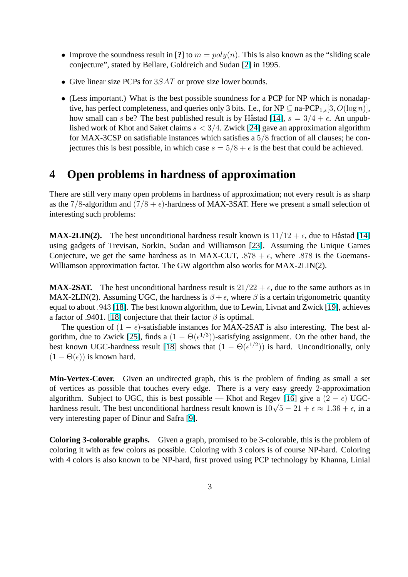- Improve the soundness result in [?] to  $m = poly(n)$ . This is also known as the "sliding scale" conjecture", stated by Bellare, Goldreich and Sudan [2] in 1995.
- Give linear size PCPs for  $3SAT$  or prove size lower bounds.
- (Less important.) What is the best possible soundne[ss](#page-3-0) for a PCP for NP which is nonadaptive, has perfect completeness, and queries only 3 bits. I.e., for NP  $\subseteq$  na-PCP<sub>1,s</sub>[3,  $O(\log n)$ ], how small can s be? The best published result is by Håstad [14],  $s = 3/4 + \epsilon$ . An unpublished work of Khot and Saket claims  $s < 3/4$ . Zwick [24] gave an approximation algorithm for MAX-3CSP on satisfiable instances which satisfies a 5/8 fraction of all clauses; he conjectures this is [bes](#page-4-0)t possible, in which case  $s = 5/8 + \epsilon$  is the best that could be achieved.

## **4 Open problems in hardness of approximation**

There are still very many open problems in hardness of approximation; not every result is as sharp as the 7/8-algorithm and  $(7/8 + \epsilon)$ -hardness of MAX-3SAT. Here we present a small selection of interesting such problems:

**MAX-2LIN(2).** The best unconditional hardness result known is  $11/12 + \epsilon$ , due to Håstad [14] using gadgets of Trevisan, Sorkin, Sudan and Williamson [23]. Assuming the Unique Games Conjecture, we get the same hardness as in MAX-CUT,  $.878 + \epsilon$ , where  $.878$  is the Goemans-Williamson approximation factor. The GW algorithm also works for MAX-2LIN(2).

**MAX-2SAT.** The best unconditional hardness result is  $21/22 + \epsilon$  $21/22 + \epsilon$  $21/22 + \epsilon$ , due to the same authors as in MAX-2LIN(2). Assuming UGC, the hardness is  $\beta + \epsilon$ , where  $\beta$  is a certain trigonometric quantity equal to about .943 [18]. The best known algorithm, due to Lewin, Livnat and Zwick [19], achieves a factor of .9401. [18] conjecture that their factor  $\beta$  is optimal.

The question of  $(1 - \epsilon)$ -satisfiable instances for MAX-2SAT is also interesting. The best algorithm, due to Zw[ick](#page-4-0) [25], finds a  $(1 - \Theta(\epsilon^{1/3}))$ -satisfying assignment. On the ot[her](#page-4-0) hand, the best known UGC[-har](#page-4-0)dness result [18] shows that  $(1 - \Theta(\epsilon^{1/2}))$  is hard. Unconditionally, only  $(1 - \Theta(\epsilon))$  is known hard.

**Min-Vertex-Cover.** Given an un[dire](#page-4-0)cted graph, this is the problem of finding as small a set of vertices as possible that touches every edge. There is a very easy greedy 2-approximation algorithm. Subject to UGC, this is best possible — Khot and Regev [16] give a  $(2 - \epsilon)$  UGCaigorithm. Subject to UGC, this is best possible — Knot and Regev [16] give a  $(2 - \epsilon)$  UGC-<br>hardness result. The best unconditional hardness result known is  $10\sqrt{5} - 21 + \epsilon \approx 1.36 + \epsilon$ , in a very interesting paper of Dinur and Safra [9].

**Coloring 3-colorable graphs.** Given a graph, promised to be 3-colorable, this is the problem of coloring it with as few colors as possible. [C](#page-4-0)oloring with 3 colors is of course NP-hard. Coloring with 4 colors is also known to be NP-hard, first proved using PCP technology by Khanna, Linial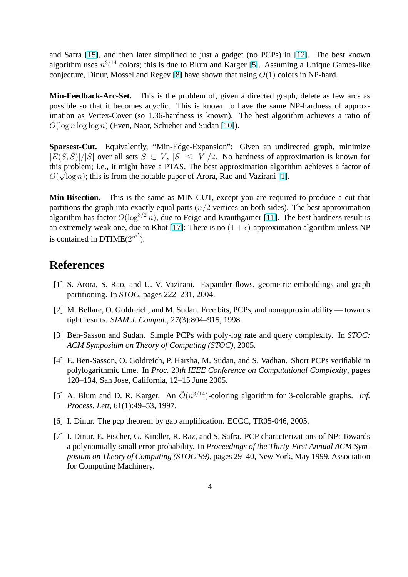<span id="page-3-0"></span>and Safra [15], and then later simplified to just a gadget (no PCPs) in [12]. The best known algorithm uses  $n^{3/14}$  colors; this is due to Blum and Karger [5]. Assuming a Unique Games-like conjecture, Dinur, Mossel and Regev [8] have shown that using  $O(1)$  colors in NP-hard.

**Min-Feed[back](#page-4-0)-Arc-Set.** This is the problem of, given a directed graph[, de](#page-4-0)lete as few arcs as possible so that it becomes acyclic. [T](#page-4-0)his is known to have the same NP-hardness of approximation as Vertex-Cover (so 1.36-hardness is known). The best algorithm achieves a ratio of  $O(\log n \log \log n)$  (Even, Naor, Schieber and Sudan [10]).

**Sparsest-Cut.** Equivalently, "Min-Edge-Expansion": Given an undirected graph, minimize  $|E(S,\overline{S})|/|S|$  over all sets  $S \subset V$ ,  $|S| \leq |V|/2$ . [No](#page-4-0) hardness of approximation is known for this problem; i.e., it might have a PTAS. The best approximation algorithm achieves a factor of  $O(\sqrt{\log n})$ ; this is from the notable paper of Arora, Rao and Vazirani [1].

**Min-Bisection.** This is the same as MIN-CUT, except you are required to produce a cut that partitions the graph into exactly equal parts  $(n/2$  vertices on both sides). The best approximation algorithm has factor  $O(\log^{3/2} n)$ , due to Feige and Krauthgamer [11]. The best hardness result is an extremely weak one, due to Khot [17]: There is no  $(1 + \epsilon)$ -approximation algorithm unless NP is contained in DTIME( $2^{n^{\epsilon'}}$ ).

#### **References**

- [1] S. Arora, S. Rao, and U. V. Vazirani. Expander flows, geometric embeddings and graph partitioning. In *STOC*, pages 222–231, 2004.
- [2] M. Bellare, O. Goldreich, and M. Sudan. Free bits, PCPs, and nonapproximability towards tight results. *SIAM J. Comput.*, 27(3):804–915, 1998.
- [3] Ben-Sasson and Sudan. Simple PCPs with poly-log rate and query complexity. In *STOC: ACM Symposium on Theory of Computing (STOC)*, 2005.
- [4] E. Ben-Sasson, O. Goldreich, P. Harsha, M. Sudan, and S. Vadhan. Short PCPs verifiable in polylogarithmic time. In *Proc.* 20*th IEEE Conference on Computational Complexity*, pages 120–134, San Jose, California, 12–15 June 2005.
- [5] A. Blum and D. R. Karger. An  $\tilde{O}(n^{3/14})$ -coloring algorithm for 3-colorable graphs. *Inf. Process. Lett*, 61(1):49–53, 1997.
- [6] I. Dinur. The pcp theorem by gap amplification. ECCC, TR05-046, 2005.
- [7] I. Dinur, E. Fischer, G. Kindler, R. Raz, and S. Safra. PCP characterizations of NP: Towards a polynomially-small error-probability. In *Proceedings of the Thirty-First Annual ACM Symposium on Theory of Computing (STOC'99)*, pages 29–40, New York, May 1999. Association for Computing Machinery.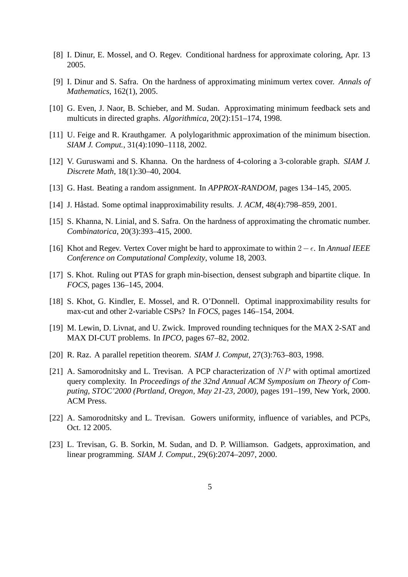- <span id="page-4-0"></span>[8] I. Dinur, E. Mossel, and O. Regev. Conditional hardness for approximate coloring, Apr. 13 2005.
- [9] I. Dinur and S. Safra. On the hardness of approximating minimum vertex cover. *Annals of Mathematics*, 162(1), 2005.
- [10] G. Even, J. Naor, B. Schieber, and M. Sudan. Approximating minimum feedback sets and multicuts in directed graphs. *Algorithmica*, 20(2):151–174, 1998.
- [11] U. Feige and R. Krauthgamer. A polylogarithmic approximation of the minimum bisection. *SIAM J. Comput.*, 31(4):1090–1118, 2002.
- [12] V. Guruswami and S. Khanna. On the hardness of 4-coloring a 3-colorable graph. *SIAM J. Discrete Math*, 18(1):30–40, 2004.
- [13] G. Hast. Beating a random assignment. In *APPROX-RANDOM*, pages 134–145, 2005.
- [14] J. Håstad. Some optimal inapproximability results. *J. ACM*, 48(4):798–859, 2001.
- [15] S. Khanna, N. Linial, and S. Safra. On the hardness of approximating the chromatic number. *Combinatorica*, 20(3):393–415, 2000.
- [16] Khot and Regev. Vertex Cover might be hard to approximate to within 2−². In *Annual IEEE Conference on Computational Complexity*, volume 18, 2003.
- [17] S. Khot. Ruling out PTAS for graph min-bisection, densest subgraph and bipartite clique. In *FOCS*, pages 136–145, 2004.
- [18] S. Khot, G. Kindler, E. Mossel, and R. O'Donnell. Optimal inapproximability results for max-cut and other 2-variable CSPs? In *FOCS*, pages 146–154, 2004.
- [19] M. Lewin, D. Livnat, and U. Zwick. Improved rounding techniques for the MAX 2-SAT and MAX DI-CUT problems. In *IPCO*, pages 67–82, 2002.
- [20] R. Raz. A parallel repetition theorem. *SIAM J. Comput*, 27(3):763–803, 1998.
- [21] A. Samorodnitsky and L. Trevisan. A PCP characterization of  $NP$  with optimal amortized query complexity. In *Proceedings of the 32nd Annual ACM Symposium on Theory of Computing, STOC'2000 (Portland, Oregon, May 21-23, 2000)*, pages 191–199, New York, 2000. ACM Press.
- [22] A. Samorodnitsky and L. Trevisan. Gowers uniformity, influence of variables, and PCPs, Oct. 12 2005.
- [23] L. Trevisan, G. B. Sorkin, M. Sudan, and D. P. Williamson. Gadgets, approximation, and linear programming. *SIAM J. Comput.*, 29(6):2074–2097, 2000.